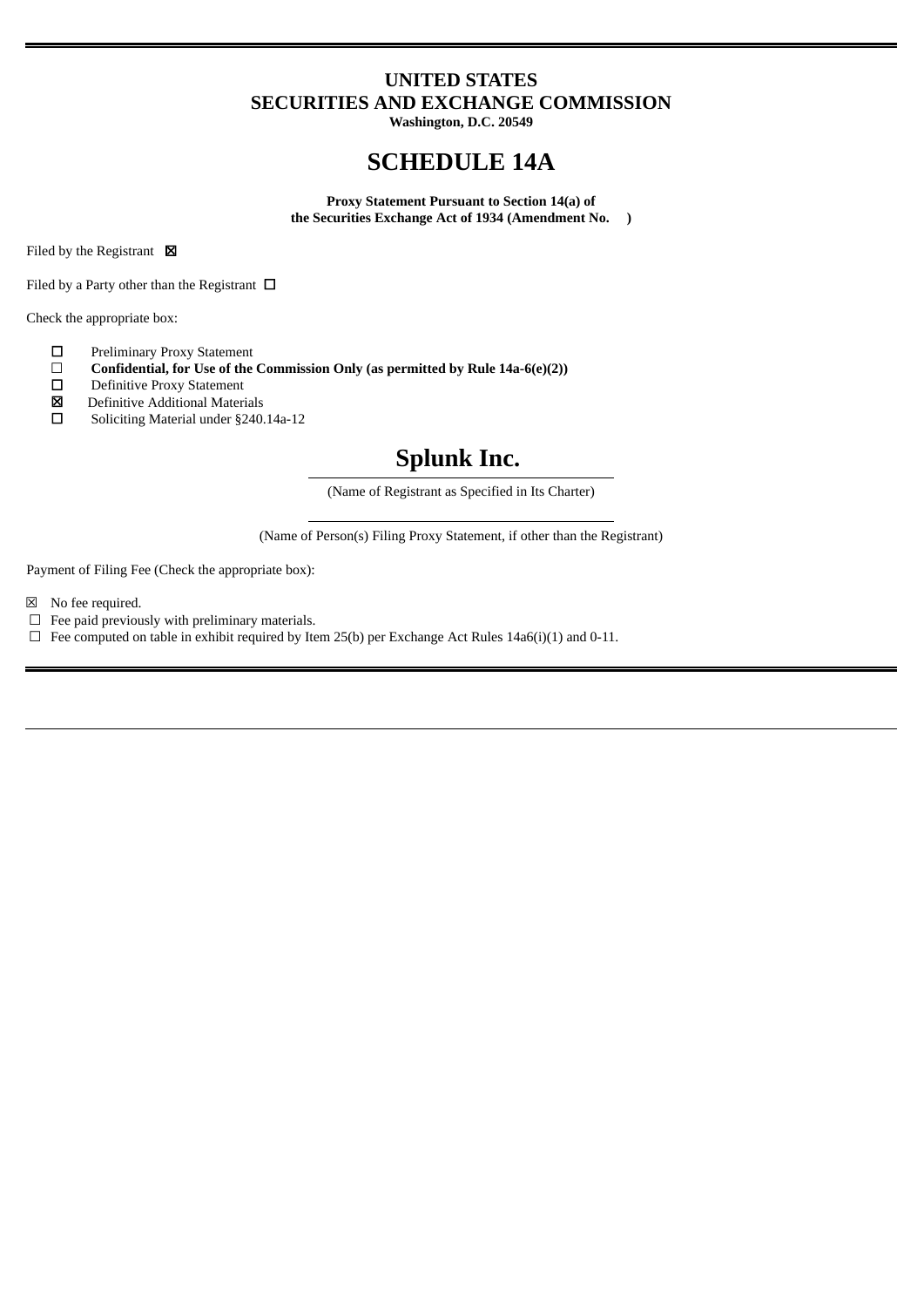### **UNITED STATES SECURITIES AND EXCHANGE COMMISSION**

**Washington, D.C. 20549**

## **SCHEDULE 14A**

**Proxy Statement Pursuant to Section 14(a) of the Securities Exchange Act of 1934 (Amendment No. )**

Filed by the Registrant  $\boxtimes$ 

Filed by a Party other than the Registrant  $\Box$ 

Check the appropriate box:

- ☐ Preliminary Proxy Statement
- ☐ **Confidential, for Use of the Commission Only (as permitted by Rule 14a-6(e)(2))**
- Definitive Proxy Statement
- $\boxtimes$  Definitive Additional Materials<br>  $\Box$  Soliciting Material under §240.
- Soliciting Material under §240.14a-12

# **Splunk Inc.**

(Name of Registrant as Specified in Its Charter)

(Name of Person(s) Filing Proxy Statement, if other than the Registrant)

Payment of Filing Fee (Check the appropriate box):

- ☒ No fee required.
- $\Box$  Fee paid previously with preliminary materials.
- $\Box$  Fee computed on table in exhibit required by Item 25(b) per Exchange Act Rules 14a6(i)(1) and 0-11.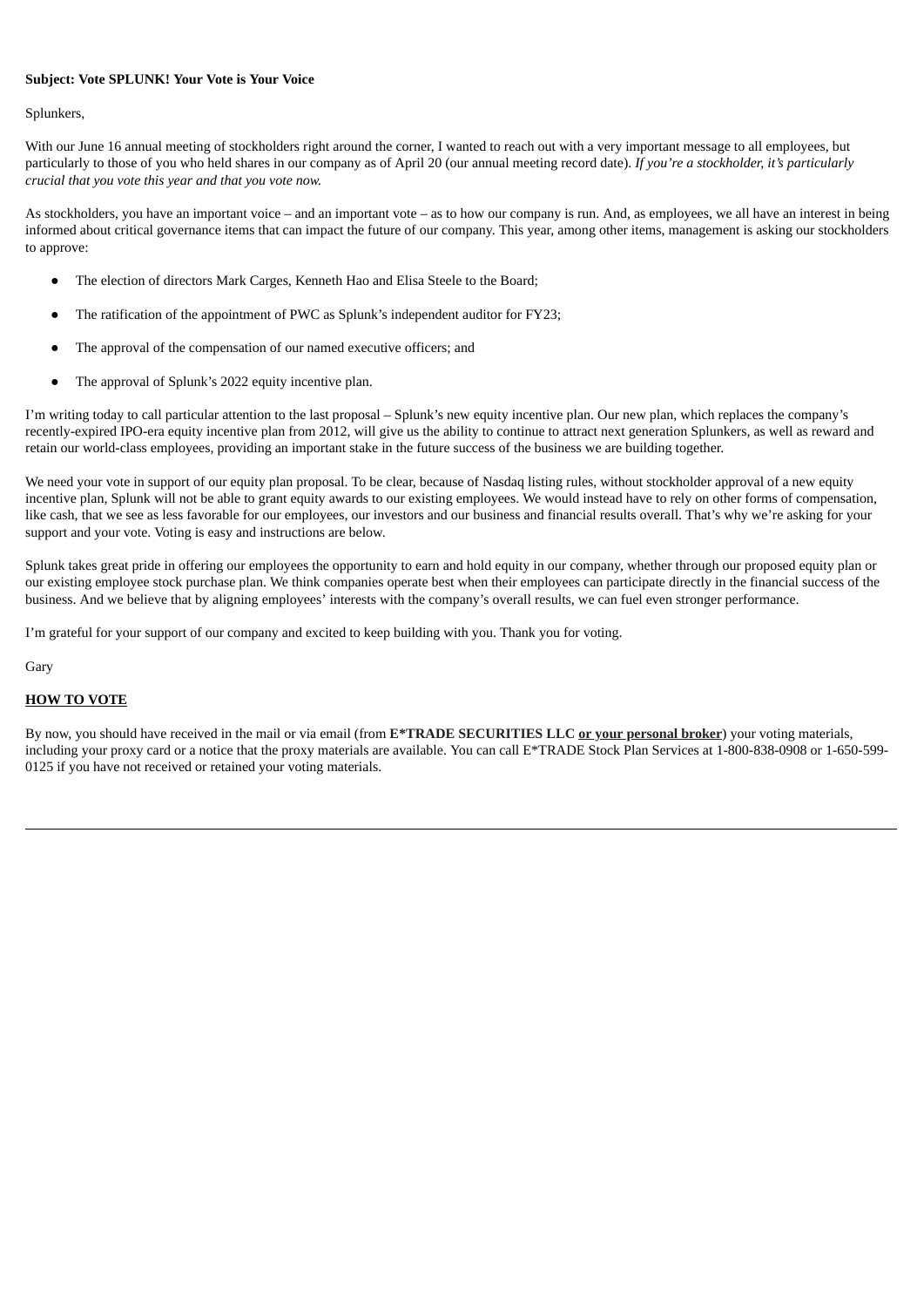#### **Subject: Vote SPLUNK! Your Vote is Your Voice**

#### Splunkers,

With our June 16 annual meeting of stockholders right around the corner, I wanted to reach out with a very important message to all employees, but particularly to those of you who held shares in our company as of April 20 (our annual meeting record date). *If you're a stockholder, it's particularly crucial that you vote this year and that you vote now.*

As stockholders, you have an important voice – and an important vote – as to how our company is run. And, as employees, we all have an interest in being informed about critical governance items that can impact the future of our company. This year, among other items, management is asking our stockholders to approve:

- The election of directors Mark Carges, Kenneth Hao and Elisa Steele to the Board;
- The ratification of the appointment of PWC as Splunk's independent auditor for FY23;
- The approval of the compensation of our named executive officers; and
- The approval of Splunk's 2022 equity incentive plan.

I'm writing today to call particular attention to the last proposal – Splunk's new equity incentive plan. Our new plan, which replaces the company's recently-expired IPO-era equity incentive plan from 2012, will give us the ability to continue to attract next generation Splunkers, as well as reward and retain our world-class employees, providing an important stake in the future success of the business we are building together.

We need your vote in support of our equity plan proposal. To be clear, because of Nasdaq listing rules, without stockholder approval of a new equity incentive plan, Splunk will not be able to grant equity awards to our existing employees. We would instead have to rely on other forms of compensation, like cash, that we see as less favorable for our employees, our investors and our business and financial results overall. That's why we're asking for your support and your vote. Voting is easy and instructions are below.

Splunk takes great pride in offering our employees the opportunity to earn and hold equity in our company, whether through our proposed equity plan or our existing employee stock purchase plan. We think companies operate best when their employees can participate directly in the financial success of the business. And we believe that by aligning employees' interests with the company's overall results, we can fuel even stronger performance.

I'm grateful for your support of our company and excited to keep building with you. Thank you for voting.

Gary

#### **HOW TO VOTE**

By now, you should have received in the mail or via email (from **E\*TRADE SECURITIES LLC or your personal broker**) your voting materials, including your proxy card or a notice that the proxy materials are available. You can call E\*TRADE Stock Plan Services at 1-800-838-0908 or 1-650-599- 0125 if you have not received or retained your voting materials.